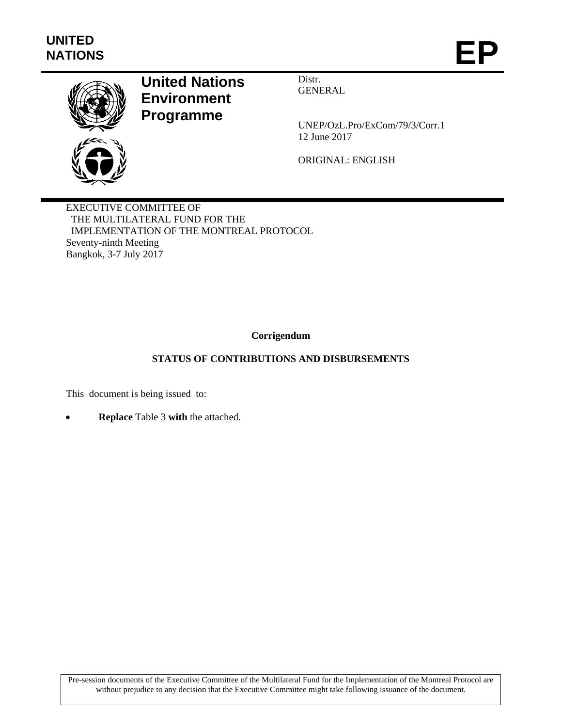

## **United Nations Environment Programme**

Distr. GENERAL

UNEP/OzL.Pro/ExCom/79/3/Corr.1 12 June 2017

ORIGINAL: ENGLISH

EXECUTIVE COMMITTEE OF THE MULTILATERAL FUND FOR THE IMPLEMENTATION OF THE MONTREAL PROTOCOL Seventy-ninth Meeting Bangkok, 3-7 July 2017

## **Corrigendum**

## **STATUS OF CONTRIBUTIONS AND DISBURSEMENTS**

This document is being issued to:

**Replace** Table 3 **with** the attached.

Pre-session documents of the Executive Committee of the Multilateral Fund for the Implementation of the Montreal Protocol are without prejudice to any decision that the Executive Committee might take following issuance of the document.